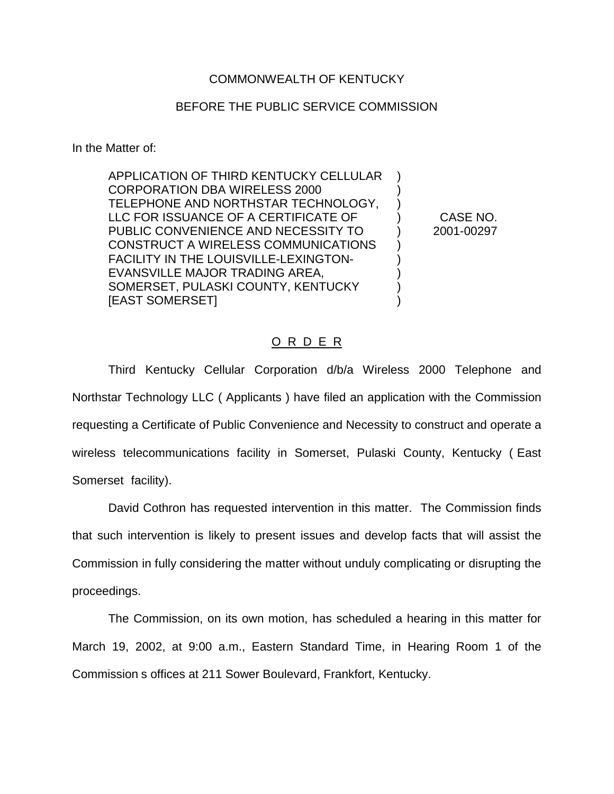## COMMONWEALTH OF KENTUCKY

## BEFORE THE PUBLIC SERVICE COMMISSION

In the Matter of:

APPLICATION OF THIRD KENTUCKY CELLULAR ) CORPORATION DBA WIRELESS 2000 ) TELEPHONE AND NORTHSTAR TECHNOLOGY, ) LLC FOR ISSUANCE OF A CERTIFICATE OF ) CASE NO. PUBLIC CONVENIENCE AND NECESSITY TO  $2001-00297$ CONSTRUCT A WIRELESS COMMUNICATIONS ) FACILITY IN THE LOUISVILLE-LEXINGTON-  $)$ EVANSVILLE MAJOR TRADING AREA,  $\qquad \qquad$ ) SOMERSET, PULASKI COUNTY, KENTUCKY ) [EAST SOMERSET] )

## O R D E R

Third Kentucky Cellular Corporation d/b/a Wireless 2000 Telephone and Northstar Technology LLC ( Applicants ) have filed an application with the Commission requesting a Certificate of Public Convenience and Necessity to construct and operate a wireless telecommunications facility in Somerset, Pulaski County, Kentucky ( East Somerset facility).

David Cothron has requested intervention in this matter. The Commission finds that such intervention is likely to present issues and develop facts that will assist the Commission in fully considering the matter without unduly complicating or disrupting the proceedings.

The Commission, on its own motion, has scheduled a hearing in this matter for March 19, 2002, at 9:00 a.m., Eastern Standard Time, in Hearing Room 1 of the Commission s offices at 211 Sower Boulevard, Frankfort, Kentucky.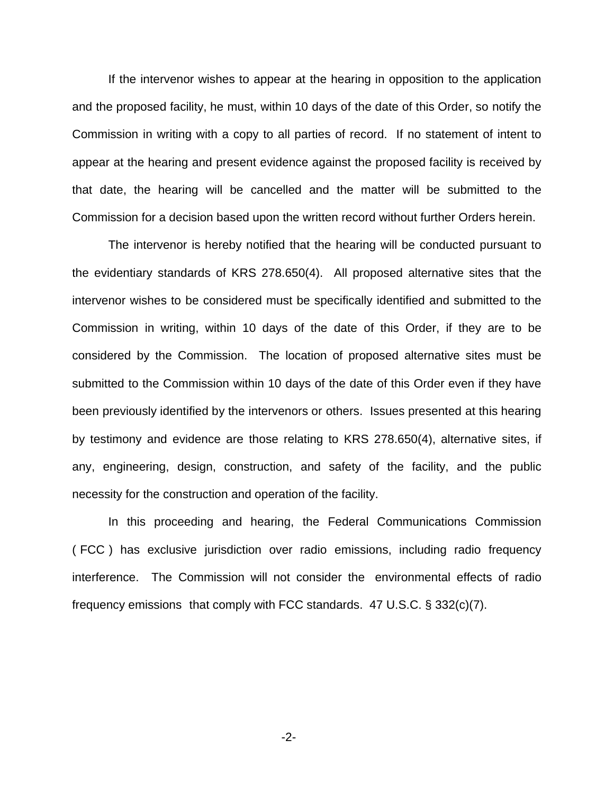If the intervenor wishes to appear at the hearing in opposition to the application and the proposed facility, he must, within 10 days of the date of this Order, so notify the Commission in writing with a copy to all parties of record. If no statement of intent to appear at the hearing and present evidence against the proposed facility is received by that date, the hearing will be cancelled and the matter will be submitted to the Commission for a decision based upon the written record without further Orders herein.

The intervenor is hereby notified that the hearing will be conducted pursuant to the evidentiary standards of KRS 278.650(4). All proposed alternative sites that the intervenor wishes to be considered must be specifically identified and submitted to the Commission in writing, within 10 days of the date of this Order, if they are to be considered by the Commission. The location of proposed alternative sites must be submitted to the Commission within 10 days of the date of this Order even if they have been previously identified by the intervenors or others. Issues presented at this hearing by testimony and evidence are those relating to KRS 278.650(4), alternative sites, if any, engineering, design, construction, and safety of the facility, and the public necessity for the construction and operation of the facility.

In this proceeding and hearing, the Federal Communications Commission ( FCC ) has exclusive jurisdiction over radio emissions, including radio frequency interference. The Commission will not consider the environmental effects of radio frequency emissions that comply with FCC standards. 47 U.S.C. § 332(c)(7).

-2-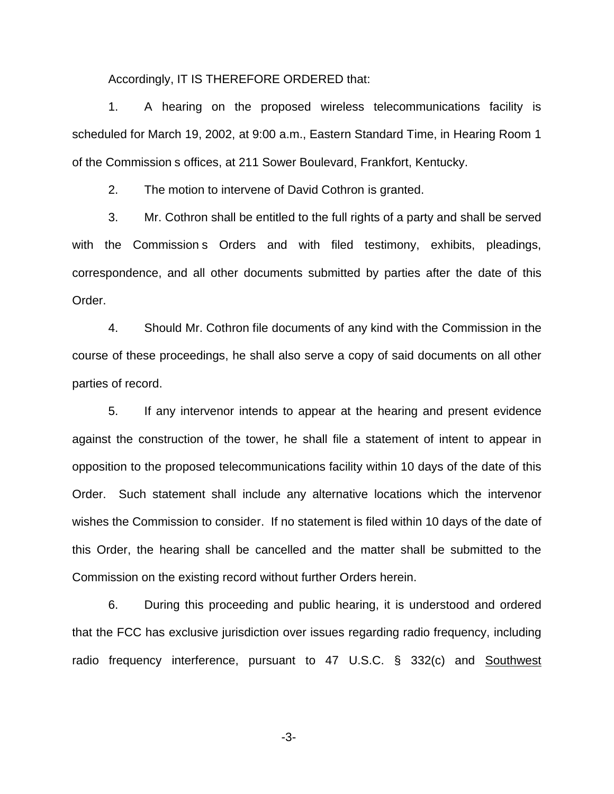Accordingly, IT IS THEREFORE ORDERED that:

1. A hearing on the proposed wireless telecommunications facility is scheduled for March 19, 2002, at 9:00 a.m., Eastern Standard Time, in Hearing Room 1 of the Commission s offices, at 211 Sower Boulevard, Frankfort, Kentucky.

2. The motion to intervene of David Cothron is granted.

3. Mr. Cothron shall be entitled to the full rights of a party and shall be served with the Commission s Orders and with filed testimony, exhibits, pleadings, correspondence, and all other documents submitted by parties after the date of this Order.

4. Should Mr. Cothron file documents of any kind with the Commission in the course of these proceedings, he shall also serve a copy of said documents on all other parties of record.

5. If any intervenor intends to appear at the hearing and present evidence against the construction of the tower, he shall file a statement of intent to appear in opposition to the proposed telecommunications facility within 10 days of the date of this Order. Such statement shall include any alternative locations which the intervenor wishes the Commission to consider. If no statement is filed within 10 days of the date of this Order, the hearing shall be cancelled and the matter shall be submitted to the Commission on the existing record without further Orders herein.

6. During this proceeding and public hearing, it is understood and ordered that the FCC has exclusive jurisdiction over issues regarding radio frequency, including radio frequency interference, pursuant to 47 U.S.C. § 332(c) and Southwest

-3-